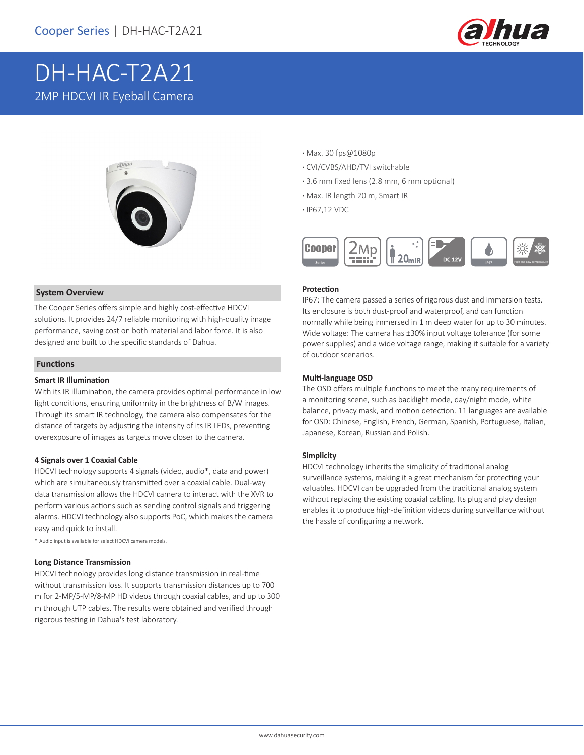

# DH-HAC-T2A21 2MP HDCVI IR Eyeball Camera



### **System Overview**

The Cooper Series offers simple and highly cost-effective HDCVI solutions. It provides 24/7 reliable monitoring with high-quality image performance, saving cost on both material and labor force. It is also designed and built to the specific standards of Dahua.

### **Functions**

### **Smart IR Illumination**

With its IR illumination, the camera provides optimal performance in low light conditions, ensuring uniformity in the brightness of B/W images. Through its smart IR technology, the camera also compensates for the distance of targets by adjusting the intensity of its IR LEDs, preventing overexposure of images as targets move closer to the camera.

### **4 Signals over 1 Coaxial Cable**

HDCVI technology supports 4 signals (video, audio\*, data and power) which are simultaneously transmitted over a coaxial cable. Dual-way data transmission allows the HDCVI camera to interact with the XVR to perform various actions such as sending control signals and triggering alarms. HDCVI technology also supports PoC, which makes the camera easy and quick to install.

\* Audio input is available for select HDCVI camera models.

### **Long Distance Transmission**

HDCVI technology provides long distance transmission in real-time without transmission loss. It supports transmission distances up to 700 m for 2-MP/5-MP/8-MP HD videos through coaxial cables, and up to 300 m through UTP cables. The results were obtained and verified through rigorous testing in Dahua's test laboratory.

- **·** Max. 30 fps@1080p
- **·** CVI/CVBS/AHD/TVI switchable
- **·** 3.6 mm fixed lens (2.8 mm, 6 mm optional)
- **·** Max. IR length 20 m, Smart IR
- **·** IP67,12 VDC



### **Protection**

IP67: The camera passed a series of rigorous dust and immersion tests. Its enclosure is both dust-proof and waterproof, and can function normally while being immersed in 1 m deep water for up to 30 minutes. Wide voltage: The camera has ±30% input voltage tolerance (for some power supplies) and a wide voltage range, making it suitable for a variety of outdoor scenarios.

### **Multi-language OSD**

The OSD offers multiple functions to meet the many requirements of a monitoring scene, such as backlight mode, day/night mode, white balance, privacy mask, and motion detection. 11 languages are available for OSD: Chinese, English, French, German, Spanish, Portuguese, Italian, Japanese, Korean, Russian and Polish.

### **Simplicity**

HDCVI technology inherits the simplicity of traditional analog surveillance systems, making it a great mechanism for protecting your valuables. HDCVI can be upgraded from the traditional analog system without replacing the existing coaxial cabling. Its plug and play design enables it to produce high-definition videos during surveillance without the hassle of configuring a network.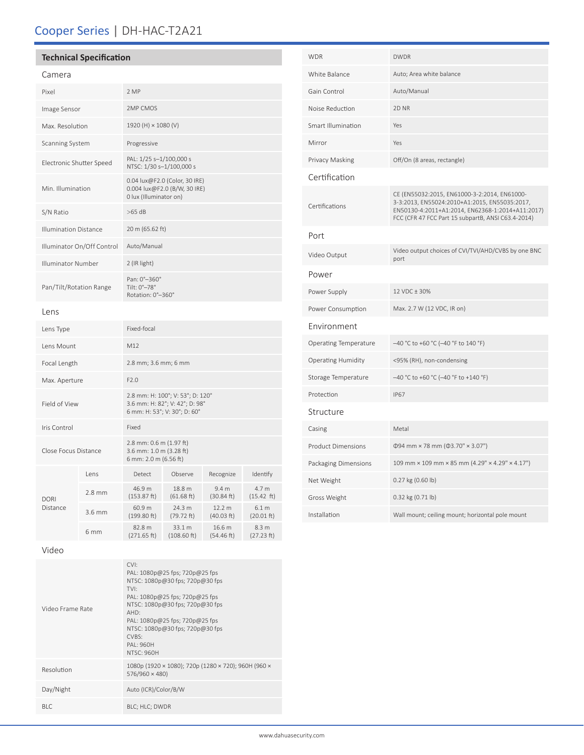# Cooper Series | DH-HAC-T2A21

### **Technical Specification**

### Camera

| Pixel                        |          | 2 MP                                                                                               |                       |                                |                               |  |
|------------------------------|----------|----------------------------------------------------------------------------------------------------|-----------------------|--------------------------------|-------------------------------|--|
| Image Sensor                 |          | 2MP CMOS                                                                                           |                       |                                |                               |  |
| Max. Resolution              |          | 1920 (H) × 1080 (V)                                                                                |                       |                                |                               |  |
| <b>Scanning System</b>       |          | Progressive                                                                                        |                       |                                |                               |  |
| Electronic Shutter Speed     |          | PAL: 1/25 s-1/100,000 s<br>NTSC: 1/30 s-1/100,000 s                                                |                       |                                |                               |  |
| Min. Illumination            |          | 0.04 lux@F2.0 (Color, 30 IRE)<br>0.004 lux@F2.0 (B/W, 30 IRE)<br>0 lux (Illuminator on)            |                       |                                |                               |  |
| S/N Ratio                    |          | $>65$ dB                                                                                           |                       |                                |                               |  |
| <b>Illumination Distance</b> |          | 20 m (65.62 ft)                                                                                    |                       |                                |                               |  |
| Illuminator On/Off Control   |          | Auto/Manual                                                                                        |                       |                                |                               |  |
| Illuminator Number           |          | 2 (IR light)                                                                                       |                       |                                |                               |  |
| Pan/Tilt/Rotation Range      |          | Pan: 0°-360°<br>Tilt: 0°-78°<br>Rotation: 0°-360°                                                  |                       |                                |                               |  |
| Lens                         |          |                                                                                                    |                       |                                |                               |  |
| Lens Type                    |          | Fixed-focal                                                                                        |                       |                                |                               |  |
| Lens Mount                   |          | M12                                                                                                |                       |                                |                               |  |
| Focal Length                 |          | 2.8 mm; 3.6 mm; 6 mm                                                                               |                       |                                |                               |  |
| Max. Aperture                |          | F2.0                                                                                               |                       |                                |                               |  |
| Field of View                |          | 2.8 mm: H: 100°; V: 53°; D: 120°<br>3.6 mm: H: 82°; V: 42°; D: 98°<br>6 mm: H: 53°; V: 30°; D: 60° |                       |                                |                               |  |
| Iris Control                 |          | Fixed                                                                                              |                       |                                |                               |  |
| Close Focus Distance         |          | 2.8 mm: 0.6 m (1.97 ft)<br>3.6 mm: 1.0 m (3.28 ft)<br>6 mm: 2.0 m (6.56 ft)                        |                       |                                |                               |  |
| <b>DORI</b><br>Distance      | Lens     | Detect                                                                                             | Observe               | Recognize                      | Identify                      |  |
|                              | $2.8$ mm | 46.9 m<br>$(153.87)$ ft)                                                                           | 18.8 m<br>(61.68 ft)  | 9.4 <sub>m</sub><br>(30.84 ft) | 4.7 m<br>$(15.42 \text{ ft})$ |  |
|                              | 3.6 mm   | 60.9 m<br>(199.80 ft)                                                                              | 24.3 m<br>(79.72 ft)  | 12.2 m<br>(40.03 ft)           | 6.1 m<br>(20.01 ft)           |  |
|                              | 6 mm     | 82.8 m<br>(271.65 ft)                                                                              | 33.1 m<br>(108.60 ft) | 16.6 m<br>(54.46 ft)           | 8.3 m<br>(27.23 ft)           |  |

| <b>WDR</b>                | <b>DWDR</b>                                                                                                                                                                                             |  |  |  |
|---------------------------|---------------------------------------------------------------------------------------------------------------------------------------------------------------------------------------------------------|--|--|--|
| White Balance             | Auto; Area white balance                                                                                                                                                                                |  |  |  |
| Gain Control              | Auto/Manual                                                                                                                                                                                             |  |  |  |
| Noise Reduction           | 2D <sub>NR</sub>                                                                                                                                                                                        |  |  |  |
| Smart Illumination        | Yes                                                                                                                                                                                                     |  |  |  |
| Mirror                    | Yes                                                                                                                                                                                                     |  |  |  |
| Privacy Masking           | Off/On (8 areas, rectangle)                                                                                                                                                                             |  |  |  |
| Certification             |                                                                                                                                                                                                         |  |  |  |
| Certifications            | CE (EN55032:2015, EN61000-3-2:2014, EN61000-<br>3-3:2013, EN55024:2010+A1:2015, EN55035:2017,<br>EN50130-4:2011+A1:2014, EN62368-1:2014+A11:2017)<br>FCC (CFR 47 FCC Part 15 subpartB, ANSI C63.4-2014) |  |  |  |
| Port                      |                                                                                                                                                                                                         |  |  |  |
| Video Output              | Video output choices of CVI/TVI/AHD/CVBS by one BNC<br>port                                                                                                                                             |  |  |  |
| Power                     |                                                                                                                                                                                                         |  |  |  |
| Power Supply              | 12 VDC ± 30%                                                                                                                                                                                            |  |  |  |
| Power Consumption         | Max. 2.7 W (12 VDC, IR on)                                                                                                                                                                              |  |  |  |
| Environment               |                                                                                                                                                                                                         |  |  |  |
| Operating Temperature     | -40 °C to +60 °C (-40 °F to 140 °F)                                                                                                                                                                     |  |  |  |
| <b>Operating Humidity</b> | <95% (RH), non-condensing                                                                                                                                                                               |  |  |  |
| Storage Temperature       | -40 °C to +60 °C (-40 °F to +140 °F)                                                                                                                                                                    |  |  |  |
| Protection                | <b>IP67</b>                                                                                                                                                                                             |  |  |  |
| Structure                 |                                                                                                                                                                                                         |  |  |  |
| Casing                    | Metal                                                                                                                                                                                                   |  |  |  |
| <b>Product Dimensions</b> | $\Phi$ 94 mm × 78 mm ( $\Phi$ 3.70" × 3.07")                                                                                                                                                            |  |  |  |
| Packaging Dimensions      | 109 mm × 109 mm × 85 mm (4.29" × 4.29" × 4.17")                                                                                                                                                         |  |  |  |
| Net Weight                | 0.27 kg (0.60 lb)                                                                                                                                                                                       |  |  |  |
| Gross Weight              | 0.32 kg (0.71 lb)                                                                                                                                                                                       |  |  |  |
| Installation              | Wall mount; ceiling mount; horizontal pole mount                                                                                                                                                        |  |  |  |

### Video

| Video Frame Rate | $\cap$<br>PAL: 1080p@25 fps; 720p@25 fps<br>NTSC: 1080p@30 fps; 720p@30 fps<br><b>TVI</b> <sup>-</sup><br>PAL: 1080p@25 fps; 720p@25 fps<br>NTSC: 1080p@30 fps; 720p@30 fps<br>AHD:<br>PAL: 1080p@25 fps; 720p@25 fps<br>NTSC: 1080p@30 fps; 720p@30 fps<br>CVBS:<br>PAI: 960H<br><b>NTSC: 960H</b> |  |
|------------------|-----------------------------------------------------------------------------------------------------------------------------------------------------------------------------------------------------------------------------------------------------------------------------------------------------|--|
| Resolution       | 1080p (1920 × 1080); 720p (1280 × 720); 960H (960 ×<br>576/960 × 480)                                                                                                                                                                                                                               |  |
| Day/Night        | Auto (ICR)/Color/B/W                                                                                                                                                                                                                                                                                |  |
| BI C             | BLC; HLC; DWDR                                                                                                                                                                                                                                                                                      |  |